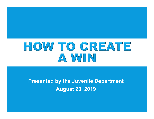### HOW TO CREATE A WIN

Presented by the Juvenile Department August 20, 2019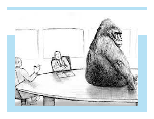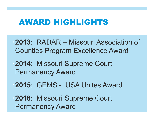### AWARD HIGHLIGHTS

- **AWARD HIGHLIGHTS<br>
2013: RADAR Missouri Association of<br>
Counties Program Excellence Award** Counties Program Excellence Award **2013: RADAR – Missouri Association of<br>Counties Program Excellence Award<br><b>2014:** Missouri Supreme Court<br>Permanency Award<br>**2015:** GEMS - USA Unites Award<br>**2016:** Missouri Supreme Court
- 2014: Missouri Supreme Court Permanency Award
- 

2016: Missouri Supreme Court Permanency Award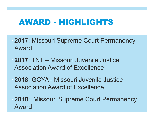# AWARD - HIGHLIGHTS

- 2017: Missouri Supreme Court Permanency Award **AWARD - HIGHLIGHTS<br>
2017: Missouri Supreme Court Permanency<br>
2017: TNT – Missouri Juvenile Justice<br>
Association Award of Excellence 2017:** Missouri Supreme Court Permanency<br>Award<br>**2017:** TNT – Missouri Juvenile Justice<br>Association Award of Excellence<br>**2018:** GCYA - Missouri Juvenile Justice<br>Association Award of Excellence
- Association Award of Excellence
- Association Award of Excellence
- 2018: Missouri Supreme Court Permanency Award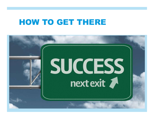### HOW TO GET THERE

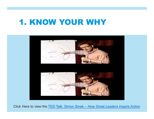### 1. KNOW YOUR WHY



Click Here to view the **TED Talk: Simon Sinek** - How Great Leaders Inspire Action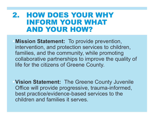## 2. HOW DOES YOUR WHY<br>INFORM YOUR WHAT<br>AND YOUR HOW? INFORM YOUR WHAT AND YOUR HOW?

Mission Statement: To provide prevention, intervention, and protection services to children, families, and the community, while promoting collaborative partnerships to improve the quality of life for the citizens of Greene County.

**Vision Statement:** The Greene County Juvenile Office will provide progressive, trauma-informed, best practice/evidence-based services to the children and families it serves.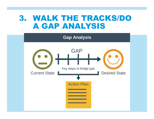# 3. WALK THE TRACKS/DO<br>A GAP ANALYSIS A GAP ANALYSIS

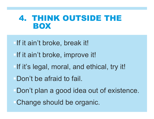### 4. THINK OUTSIDE THE BOX **4. THINK OUTSIDE**<br>**BOX**<br>If it ain't broke, break it!<br>If it ain't broke, improve it! **4. THINK OUTSIDE THET**<br> **BOX**<br>
If it ain't broke, break it!<br>
If it ain't broke, improve it!<br>
If it's legal, moral, and ethical, t

- 
- 
- **If it's legal, moral, and ethical, try it!**
- Don't be afraid to fail.
- Don't plan a good idea out of existence.
- Change should be organic.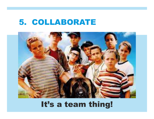### 5. COLLABORATE



### It's a team thing!